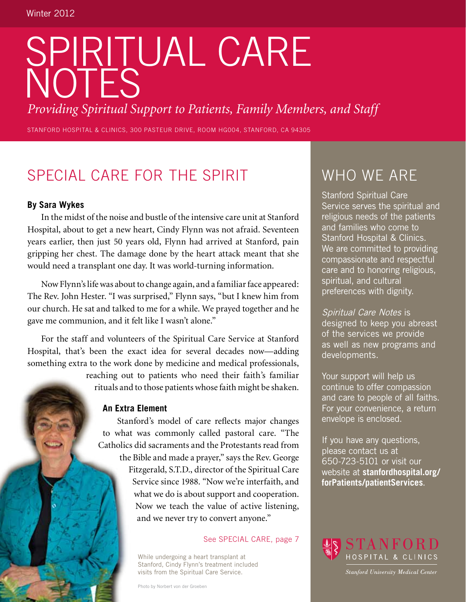# SPIRITUAL CARE NOTES

*Providing Spiritual Support to Patients, Family Members, and Staff*

STANFORD HOSPITAL & CLINICS, 300 PASTEUR DRIVE, ROOM HG004, STANFORD, CA 94305

# Special Care for the Spirit

#### **By Sara Wykes**

In the midst of the noise and bustle of the intensive care unit at Stanford Hospital, about to get a new heart, Cindy Flynn was not afraid. Seventeen years earlier, then just 50 years old, Flynn had arrived at Stanford, pain gripping her chest. The damage done by the heart attack meant that she would need a transplant one day. It was world-turning information.

Now Flynn's life was about to change again, and a familiar face appeared: The Rev. John Hester. "I was surprised," Flynn says, "but I knew him from our church. He sat and talked to me for a while. We prayed together and he gave me communion, and it felt like I wasn't alone."

For the staff and volunteers of the Spiritual Care Service at Stanford Hospital, that's been the exact idea for several decades now—adding something extra to the work done by medicine and medical professionals,

> reaching out to patients who need their faith's familiar rituals and to those patients whose faith might be shaken.

#### **An Extra Element**

Stanford's model of care reflects major changes to what was commonly called pastoral care. "The Catholics did sacraments and the Protestants read from the Bible and made a prayer," says the Rev. George Fitzgerald, S.T.D., director of the Spiritual Care Service since 1988. "Now we're interfaith, and what we do is about support and cooperation. Now we teach the value of active listening, and we never try to convert anyone."

See SPECIAL CARE, page 7

While undergoing a heart transplant at Stanford, Cindy Flynn's treatment included visits from the Spiritual Care Service.

Photo by Norbert von der Groeben

# WHO WE ARE

Stanford Spiritual Care Service serves the spiritual and religious needs of the patients and families who come to Stanford Hospital & Clinics. We are committed to providing compassionate and respectful care and to honoring religious, spiritual, and cultural preferences with dignity.

Spiritual Care Notes is designed to keep you abreast of the services we provide as well as new programs and developments.

Your support will help us continue to offer compassion and care to people of all faiths. For your convenience, a return envelope is enclosed.

If you have any questions, please contact us at 650-723-5101 or visit our website at **stanfordhospital.org/ forPatients/patientServices**.



**Stanford University Medical Center**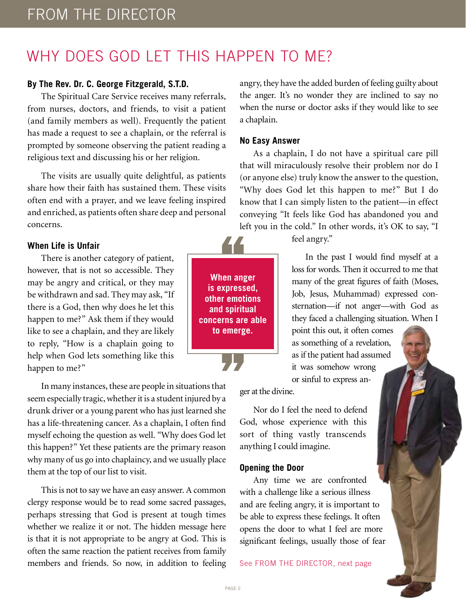# WHY DOES GOD LET THIS HAPPEN TO ME?

#### **By The Rev. Dr. C. George Fitzgerald, S.T.D.**

The Spiritual Care Service receives many referrals, from nurses, doctors, and friends, to visit a patient (and family members as well). Frequently the patient has made a request to see a chaplain, or the referral is prompted by someone observing the patient reading a religious text and discussing his or her religion.

The visits are usually quite delightful, as patients share how their faith has sustained them. These visits often end with a prayer, and we leave feeling inspired and enriched, as patients often share deep and personal concerns.

#### **When Life is Unfair**

There is another category of patient, however, that is not so accessible. They may be angry and critical, or they may be withdrawn and sad. They may ask, "If there is a God, then why does he let this happen to me?" Ask them if they would like to see a chaplain, and they are likely to reply, "How is a chaplain going to help when God lets something like this happen to me?"

In many instances, these are people in situations that seem especially tragic, whether it is a student injured by a drunk driver or a young parent who has just learned she has a life-threatening cancer. As a chaplain, I often find myself echoing the question as well. "Why does God let this happen?" Yet these patients are the primary reason why many of us go into chaplaincy, and we usually place them at the top of our list to visit.

This is not to say we have an easy answer. A common clergy response would be to read some sacred passages, perhaps stressing that God is present at tough times whether we realize it or not. The hidden message here is that it is not appropriate to be angry at God. This is often the same reaction the patient receives from family members and friends. So now, in addition to feeling

angry, they have the added burden of feeling guilty about the anger. It's no wonder they are inclined to say no when the nurse or doctor asks if they would like to see a chaplain.

#### **No Easy Answer**

As a chaplain, I do not have a spiritual care pill that will miraculously resolve their problem nor do I (or anyone else) truly know the answer to the question, "Why does God let this happen to me?" But I do know that I can simply listen to the patient—in effect conveying "It feels like God has abandoned you and left you in the cold." In other words, it's OK to say, "I

feel angry."

In the past I would find myself at a loss for words. Then it occurred to me that many of the great figures of faith (Moses, Job, Jesus, Muhammad) expressed consternation—if not anger—with God as they faced a challenging situation. When I

point this out, it often comes as something of a revelation, as if the patient had assumed it was somehow wrong or sinful to express an-

ger at the divine.

Nor do I feel the need to defend God, whose experience with this sort of thing vastly transcends anything I could imagine.

#### **Opening the Door**

Any time we are confronted with a challenge like a serious illness and are feeling angry, it is important to be able to express these feelings. It often opens the door to what I feel are more significant feelings, usually those of fear

See FROM THE DIRECTOR, next page

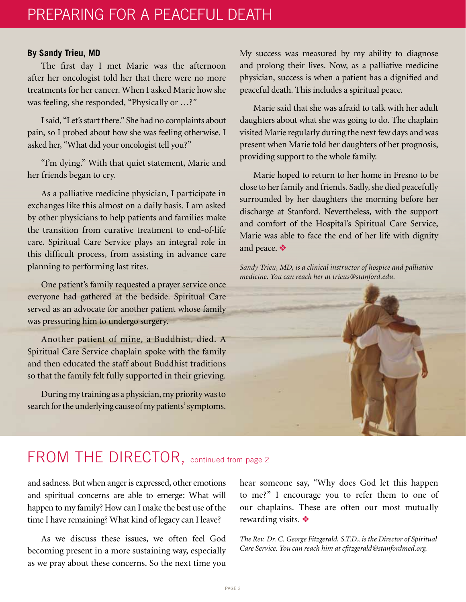#### **By Sandy Trieu, MD**

The first day I met Marie was the afternoon after her oncologist told her that there were no more treatments for her cancer. When I asked Marie how she was feeling, she responded, "Physically or …?"

I said, "Let's start there." She had no complaints about pain, so I probed about how she was feeling otherwise. I asked her, "What did your oncologist tell you?"

"I'm dying." With that quiet statement, Marie and her friends began to cry.

As a palliative medicine physician, I participate in exchanges like this almost on a daily basis. I am asked by other physicians to help patients and families make the transition from curative treatment to end-of-life care. Spiritual Care Service plays an integral role in this difficult process, from assisting in advance care planning to performing last rites.

One patient's family requested a prayer service once everyone had gathered at the bedside. Spiritual Care served as an advocate for another patient whose family was pressuring him to undergo surgery.

Another patient of mine, a Buddhist, died. A Spiritual Care Service chaplain spoke with the family and then educated the staff about Buddhist traditions so that the family felt fully supported in their grieving.

During my training as a physician, my priority was to search for the underlying cause of my patients' symptoms. My success was measured by my ability to diagnose and prolong their lives. Now, as a palliative medicine physician, success is when a patient has a dignified and peaceful death. This includes a spiritual peace.

Marie said that she was afraid to talk with her adult daughters about what she was going to do. The chaplain visited Marie regularly during the next few days and was present when Marie told her daughters of her prognosis, providing support to the whole family.

Marie hoped to return to her home in Fresno to be close to her family and friends. Sadly, she died peacefully surrounded by her daughters the morning before her discharge at Stanford. Nevertheless, with the support and comfort of the Hospital's Spiritual Care Service, Marie was able to face the end of her life with dignity and peace.  $\bullet$ 

*Sandy Trieu, MD, is a clinical instructor of hospice and palliative medicine. You can reach her at trieus@stanford.edu.*



### FROM THE DIRECTOR, continued from page 2

and sadness. But when anger is expressed, other emotions and spiritual concerns are able to emerge: What will happen to my family? How can I make the best use of the time I have remaining? What kind of legacy can I leave?

As we discuss these issues, we often feel God becoming present in a more sustaining way, especially as we pray about these concerns. So the next time you

hear someone say, "Why does God let this happen to me?" I encourage you to refer them to one of our chaplains. These are often our most mutually rewarding visits.  $\triangleleft$ 

*The Rev. Dr. C. George Fitzgerald, S.T.D., is the Director of Spiritual Care Service. You can reach him at cfitzgerald@stanfordmed.org.*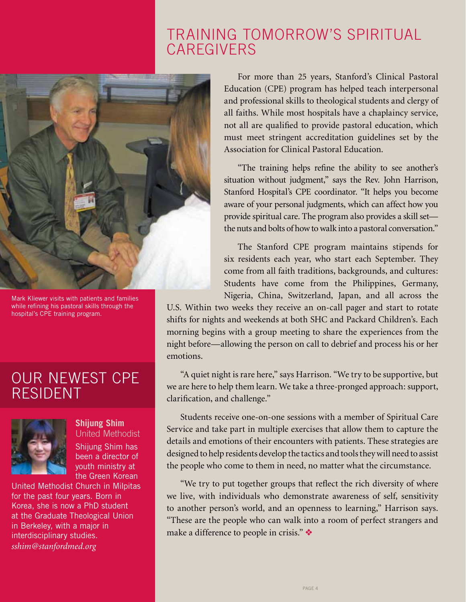### Training Tomorrow's Spiritual **CAREGIVERS**



Mark Kliewer visits with patients and families while refining his pastoral skills through the hospital's CPE training program.

### our newest CPE **RESIDENT**



**Shijung Shim** United Methodist Shijung Shim has been a director of youth ministry at the Green Korean

United Methodist Church in Milpitas for the past four years. Born in Korea, she is now a PhD student at the Graduate Theological Union in Berkeley, with a major in interdisciplinary studies. *sshim@stanfordmed.org*

For more than 25 years, Stanford's Clinical Pastoral Education (CPE) program has helped teach interpersonal and professional skills to theological students and clergy of all faiths. While most hospitals have a chaplaincy service, not all are qualified to provide pastoral education, which must meet stringent accreditation guidelines set by the Association for Clinical Pastoral Education.

"The training helps refine the ability to see another's situation without judgment," says the Rev. John Harrison, Stanford Hospital's CPE coordinator. "It helps you become aware of your personal judgments, which can affect how you provide spiritual care. The program also provides a skill set the nuts and bolts of how to walk into a pastoral conversation."

The Stanford CPE program maintains stipends for six residents each year, who start each September. They come from all faith traditions, backgrounds, and cultures: Students have come from the Philippines, Germany, Nigeria, China, Switzerland, Japan, and all across the

U.S. Within two weeks they receive an on-call pager and start to rotate shifts for nights and weekends at both SHC and Packard Children's. Each morning begins with a group meeting to share the experiences from the night before—allowing the person on call to debrief and process his or her emotions.

"A quiet night is rare here," says Harrison. "We try to be supportive, but we are here to help them learn. We take a three-pronged approach: support, clarification, and challenge."

Students receive one-on-one sessions with a member of Spiritual Care Service and take part in multiple exercises that allow them to capture the details and emotions of their encounters with patients. These strategies are designed to help residents develop the tactics and tools they will need to assist the people who come to them in need, no matter what the circumstance.

"We try to put together groups that reflect the rich diversity of where we live, with individuals who demonstrate awareness of self, sensitivity to another person's world, and an openness to learning," Harrison says. "These are the people who can walk into a room of perfect strangers and make a difference to people in crisis."  $\bullet$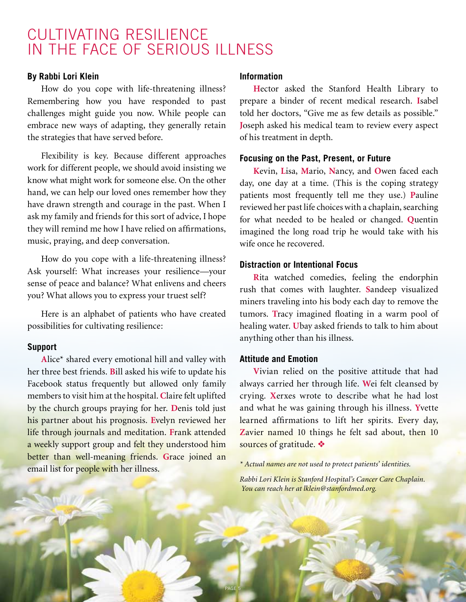### Cultivating Resilience in the Face of Serious Illness

#### **By Rabbi Lori Klein**

How do you cope with life-threatening illness? Remembering how you have responded to past challenges might guide you now. While people can embrace new ways of adapting, they generally retain the strategies that have served before.

Flexibility is key. Because different approaches work for different people, we should avoid insisting we know what might work for someone else. On the other hand, we can help our loved ones remember how they have drawn strength and courage in the past. When I ask my family and friends for this sort of advice, I hope they will remind me how I have relied on affirmations, music, praying, and deep conversation.

How do you cope with a life-threatening illness? Ask yourself: What increases your resilience—your sense of peace and balance? What enlivens and cheers you? What allows you to express your truest self?

Here is an alphabet of patients who have created possibilities for cultivating resilience:

#### **Support**

**A**lice\* shared every emotional hill and valley with her three best friends. **B**ill asked his wife to update his Facebook status frequently but allowed only family members to visit him at the hospital. **C**laire felt uplifted by the church groups praying for her. **D**enis told just his partner about his prognosis. **E**velyn reviewed her life through journals and meditation. **F**rank attended a weekly support group and felt they understood him better than well-meaning friends. **G**race joined an email list for people with her illness.

#### **Information**

**H**ector asked the Stanford Health Library to prepare a binder of recent medical research. **I**sabel told her doctors, "Give me as few details as possible." **J**oseph asked his medical team to review every aspect of his treatment in depth.

#### **Focusing on the Past, Present, or Future**

**K**evin, **L**isa, **M**ario, **N**ancy, and **O**wen faced each day, one day at a time. (This is the coping strategy patients most frequently tell me they use.) **P**auline reviewed her past life choices with a chaplain, searching for what needed to be healed or changed. **Q**uentin imagined the long road trip he would take with his wife once he recovered.

#### **Distraction or Intentional Focus**

**R**ita watched comedies, feeling the endorphin rush that comes with laughter. **S**andeep visualized miners traveling into his body each day to remove the tumors. **T**racy imagined floating in a warm pool of healing water. **U**bay asked friends to talk to him about anything other than his illness.

#### **Attitude and Emotion**

**V**ivian relied on the positive attitude that had always carried her through life. **W**ei felt cleansed by crying. **X**erxes wrote to describe what he had lost and what he was gaining through his illness. **Y**vette learned affirmations to lift her spirits. Every day, Zavier named 10 things he felt sad about, then 10 sources of gratitude.  $\bullet$ 

*\* Actual names are not used to protect patients' identities.* 

*Rabbi Lori Klein is Stanford Hospital's Cancer Care Chaplain. You can reach her at lklein@stanfordmed.org.*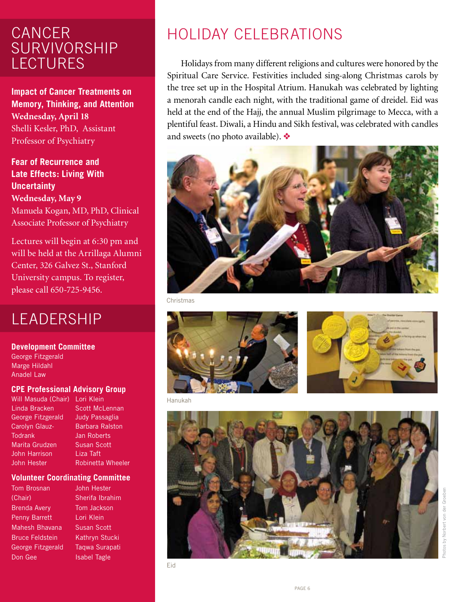### **CANCER** Survivorship **LECTURES**

**Impact of Cancer Treatments on Memory, Thinking, and Attention Wednesday, April 18** Shelli Kesler, PhD, Assistant Professor of Psychiatry

**Fear of Recurrence and Late Effects: Living With Uncertainty Wednesday, May 9** Manuela Kogan, MD, PhD, Clinical Associate Professor of Psychiatry

Lectures will begin at 6:30 pm and will be held at the Arrillaga Alumni Center, 326 Galvez St., Stanford University campus. To register, please call 650-725-9456.

### **LEADERSHIP**

**Development Committee**

George Fitzgerald Marge Hildahl Anadel Law

#### **CPE Professional Advisory Group**

Will Masuda (Chair) Lori Klein Linda Bracken George Fitzgerald Carolyn Glauz-**Todrank** Marita Grudzen John Harrison John Hester

Scott McLennan Judy Passaglia Barbara Ralston Jan Roberts Susan Scott Liza Taft Robinetta Wheeler

#### **Volunteer Coordinating Committee**

Tom Brosnan (Chair) Brenda Avery Penny Barrett Mahesh Bhavana Bruce Feldstein George Fitzgerald Don Gee

John Hester Sherifa Ibrahim Tom Jackson Lori Klein Susan Scott Kathryn Stucki Taqwa Surapati Isabel Tagle

# Holiday Celebrations

Holidays from many different religions and cultures were honored by the Spiritual Care Service. Festivities included sing-along Christmas carols by the tree set up in the Hospital Atrium. Hanukah was celebrated by lighting a menorah candle each night, with the traditional game of dreidel. Eid was held at the end of the Hajj, the annual Muslim pilgrimage to Mecca, with a plentiful feast. Diwali, a Hindu and Sikh festival, was celebrated with candles and sweets (no photo available).  $\bullet\bullet$ 



Christmas





Hanukah

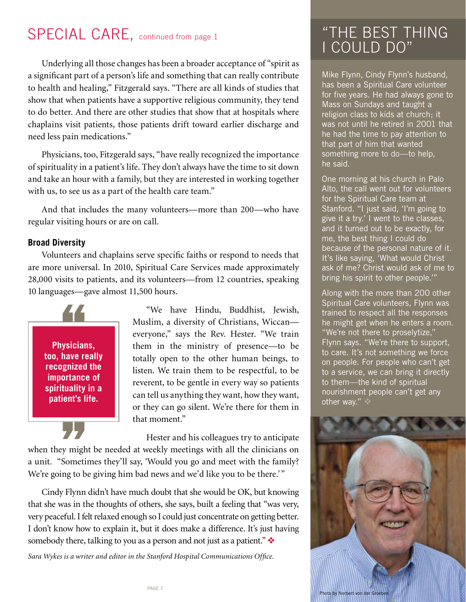# SPECIAL CARE, continued from page 1

Underlying all those changes has been a broader acceptance of "spirit as a significant part of a person's life and something that can really contribute to health and healing," Fitzgerald says. "There are all kinds of studies that show that when patients have a supportive religious community, they tend to do better. And there are other studies that show that at hospitals where chaplains visit patients, those patients drift toward earlier discharge and need less pain medications."

Physicians, too, Fitzgerald says, "have really recognized the importance of spirituality in a patient's life. They don't always have the time to sit down and take an hour with a family, but they are interested in working together with us, to see us as a part of the health care team."

And that includes the many volunteers—more than 200—who have regular visiting hours or are on call.

#### **Broad Diversity**

Volunteers and chaplains serve specific faiths or respond to needs that are more universal. In 2010, Spiritual Care Services made approximately 28,000 visits to patients, and its volunteers—from 12 countries, speaking 10 languages—gave almost 11,500 hours.



"We have Hindu, Buddhist, Jewish, Muslim, a diversity of Christians, Wiccan everyone," says the Rev. Hester. "We train them in the ministry of presence—to be totally open to the other human beings, to listen. We train them to be respectful, to be reverent, to be gentle in every way so patients can tell us anything they want, how they want, or they can go silent. We're there for them in that moment."

Hester and his colleagues try to anticipate when they might be needed at weekly meetings with all the clinicians on a unit. "Sometimes they'll say, 'Would you go and meet with the family? We're going to be giving him bad news and we'd like you to be there.'"

Cindy Flynn didn't have much doubt that she would be OK, but knowing that she was in the thoughts of others, she says, built a feeling that "was very, very peaceful. I felt relaxed enough so I could just concentrate on getting better. I don't know how to explain it, but it does make a difference. It's just having somebody there, talking to you as a person and not just as a patient."  $\bullet$ 

*Sara Wykes is a writer and editor in the Stanford Hospital Communications Office.*

# "The Best Thing I Could Do"

Mike Flynn, Cindy Flynn's husband, has been a Spiritual Care volunteer for five years. He had always gone to Mass on Sundays and taught a religion class to kids at church; it was not until he retired in 2001 that he had the time to pay attention to that part of him that wanted something more to do—to help, he said.

One morning at his church in Palo Alto, the call went out for volunteers for the Spiritual Care team at Stanford. "I just said, 'I'm going to give it a try.' I went to the classes, and it turned out to be exactly, for me, the best thing I could do because of the personal nature of it. It's like saying, 'What would Christ ask of me? Christ would ask of me to bring his spirit to other people.'"

Along with the more than 200 other Spiritual Care volunteers, Flynn was trained to respect all the responses he might get when he enters a room. "We're not there to proselytize," Flynn says. "We're there to support, to care. It's not something we force on people. For people who can't get to a service, we can bring it directly to them—the kind of spiritual nourishment people can't get any other way."